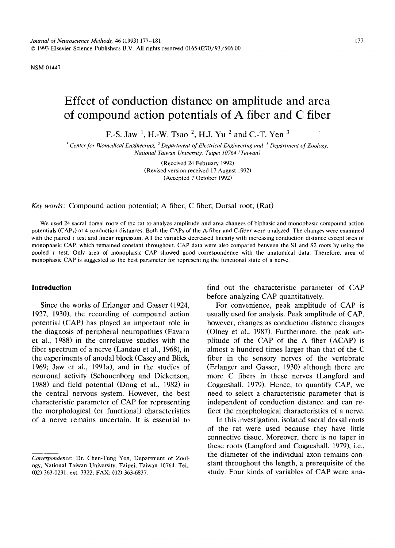NSM 01447

# **Effect of conduction distance on amplitude and area of compound action potentials of A fiber and C fiber**

F.-S. Jaw<sup>1</sup>, H.-W. Tsao<sup>2</sup>, H.J. Yu<sup>2</sup> and C.-T. Yen<sup>3</sup>

*Center for Biomedical Engineering, 2 Department of Electrical Engineering and 3 Department of Zoology, National Taiwan University, Taipei 10764 (Taiwan)* 

> (Received 24 February 1992) (Revised version received 17 August 1992) (Accepted 7 October 1992)

*Key words:* Compound action potential; A fiber; C fiber; Dorsal root; (Rat)

We used 24 sacral dorsal roots of the rat to analyze amplitude and area changes of biphasic and monophasic compound action potentials (CAPs) at 4 conduction distances. Both the CAPs of the A-fiber and C-fiber were analyzed. The changes were examined with the paired  $t$  test and linear regression. All the variables decreased linearly with increasing conduction distance except area of monophasic CAP, which remained constant throughout. CAP data were also compared between the S1 and \$2 roots by using the pooled t test. Only area of monophasic CAP showed good correspondence with the anatomical data. Therefore, area of monophasic CAP is suggested as the best parameter for representing the functional state of a nerve.

## **Introduction**

Since the works of Erlanger and Gasser (1924, 1927, 1930), the recording of compound action potential (CAP) has played an important role in the diagnosis of peripheral neuropathies (Favaro et al., 1988) in the correlative studies with the fiber spectrum of a nerve (Landau et al., 1968), in the experiments of anodal block (Casey and Blick, 1969; Jaw et al., 1991a), and in the studies of neuronal activity (Schouenborg and Dickenson, 1988) and field potential (Dong et al., 1982) in the central nervous system. However, the best characteristic parameter of CAP for representing the morphological (or functional) characteristics of a nerve remains uncertain. It is essential to

*Correspondence:* Dr. Chen-Tung Yen, Department of Zoology, National Taiwan University, Taipei, Taiwan 10764. Tel.: (02) 363-0231, ext. 3322; FAX: (02) 363-6837.

find out the characteristic parameter of CAP before analyzing CAP quantitatively.

For convenience, peak amplitude of CAP is usually used for analysis. Peak amplitude of CAP, however, changes as conduction distance changes (Olney et al., 1987). Furthermore, the peak amplitude of the CAP of the A fiber (ACAP) is almost a hundred times larger than that of the C fiber in the sensory nerves of the vertebrate (Erlanger and Gasser, 1930) although there are more C fibers in these nerves (Langford and Coggeshall, 1979). Hence, to quantify CAP, we need to select a characteristic parameter that is independent of conduction distance and can reflect the morphological characteristics of a nerve.

In this investigation, isolated sacral dorsal roots of the rat were used because they have little connective tissue. Moreover, there is no taper in these roots (Langford and Coggeshall, 1979), i.e., the diameter of the individual axon remains constant throughout the length, a prerequisite of the study. Four kinds of variables of CAP were ana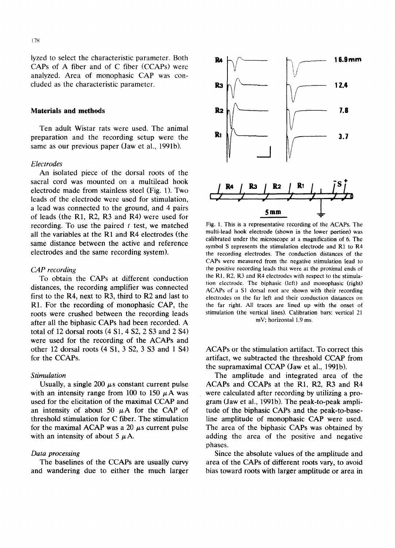lyzed to select the characteristic parameter. Both CAPs of A fiber and of C fiber (CCAPs) were analyzed. Area of monophasic CAP was concluded as the characteristic parameter.

## **Materials and methods**

Ten adult Wistar rats were used. The animal preparation and the recording setup were the same as our previous paper (Jaw et al., 1991b).

#### *Electrodes*

An isolated piece of the dorsal roots of the sacral cord was mounted on a multilead hook electrode made from stainless steel (Fig. 1). Two leads of the electrode were used for stimulation, a lead was connected to the ground, and 4 pairs of leads (the R1, R2, R3 and R4) were used for recording. To use the paired  $t$  test, we matched all the variables at the R1 and R4 electrodes (the same distance between the active and reference electrodes and the same recording system).

## *CAP recording*

To obtain the CAPs at different conduction distances, the recording amplifier was connected first to the R4, next to R3, third to R2 and last to R<sub>1</sub>. For the recording of monophasic CAP, the roots were crushed between the recording leads after all the biphasic CAPs had been recorded. A total of 12 dorsal roots  $(4 S1, 4 S2, 2 S3$  and  $2 S4)$ were used for the recording of the ACAPs and other 12 dorsal roots (4 S1, 3 \$2, 3 \$3 and 1 \$4) for the CCAPs.

# *Stimulation*

Usually, a single 200  $\mu$ s constant current pulse with an intensity range from 100 to 150  $\mu$ A was used for the elicitation of the maximal CCAP and an intensity of about 50  $\mu$ A for the CAP of threshold stimulation for C fiber. The stimulation for the maximal ACAP was a 20  $\mu$ s current pulse with an intensity of about 5  $\mu$ A.

## *Data processing*

The baselines of the CCAPs are usually curvy and wandering due to either the much larger



Fig. 1. This is a representative recording of the ACAPs. The multi-lead hook electrode (shown in the lower portion) was calibrated under the microscope at a magnification of 6. The symbol S represents the stimulation electrode and RI to R4 the recording electrodes. The conduction distances of the CAPs were measured from the negative stimulation lead to the positive recording leads that were at the proximal ends of the RI, R2, R3 and R4 electrodes with respect to the stimulation electrode. The biphasic (left) and monophasic (right) ACAPs of a SI dorsal root are shown with their recording electrodes on the far left and their conduction distances on the far right. All traces are lined up with the onset of stimulation (the vertical lines). Calibration bars: vertical 21 mV; horizontal 1.9 ms.

ACAPs or the stimulation artifact. To correct this artifact, we subtracted the threshold CCAP from the supramaximal CCAP (Jaw et al., 1991b).

The amplitude and integrated area of the ACAPs and CCAPs at the R1, R2, R3 and R4 were calculated after recording by utilizing a program (Jaw et al., 1991b). The peak-to-peak amplitude of the biphasic CAPs and the peak-to-baseline amplitude of monophasic CAP were used. The area of the biphasic CAPs was obtained by adding the area of the positive and negative phases.

Since the absolute values of the amplitude and area of the CAPs of different roots vary, to avoid bias toward roots with larger amplitude or area in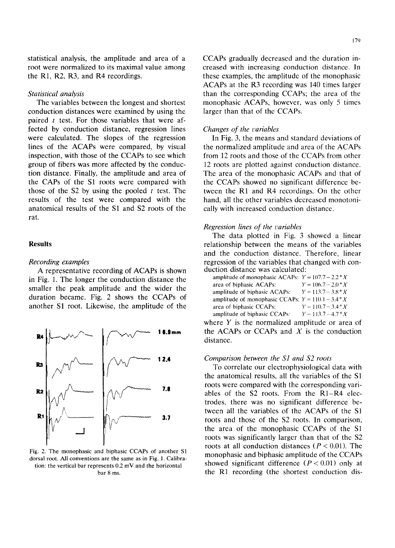statistical analysis, the amplitude and area of a root were normalized to its maximal value among the R1, R2, R3, and R4 recordings.

## *Statistical analysis*

The variables between the longest and shortest conduction distances were examined by using the paired  $t$  test. For those variables that were affected by conduction distance, regression lines were calculated. The slopes of the regression lines of the ACAPs were compared, by visual inspection, with those of the CCAPs to see which group of fibers was more affected by the conduction distance. Finally, the amplitude and area of the CAPs of the S1 roots were compared with those of the  $S2$  by using the pooled t test. The results of the test were compared with the anatomical results of the S1 and \$2 roots of the rat.

# **Results**

#### *Recording examples*

A representative recording of ACAPs is shown in Fig. 1. The longer the conduction distance the smaller the peak amplitude and the wider the duration became. Fig. 2 shows the CCAPs of another S1 root. Likewise, the amplitude of the



Fig. 2. The monophasic and biphasic CCAPs of another S1 dorsal root. All conventions are the same as in Fig. 1. Calibration: the vertical bar represents 0.2 mV and the horizontal bar 8 ms.

CCAPs gradually decreased and the duration increased with increasing conduction distance. In these examples, the amplitude of the monophasic ACAPs at the R3 recording was 140 times larger than the corresponding CCAPs; the area of the monophasic ACAPs, however, was only 5 times larger than that of the CCAPs.

## *Changes of the variables*

In Fig. 3, the means and standard deviations of the normalized amplitude and area of the ACAPs from 12 roots and those of the CCAPs from other 12 roots are plotted against conduction distance. The area of the monophasic ACAPs and that of the CCAPs showed no significant difference between the R1 and R4 recordings. On the other hand, all the other variables decreased monotonically with increased conduction distance.

## *Regression lines of the variables*

The data plotted in Fig. 3 showed a linear relationship between the means of the variables and the conduction distance. Therefore, linear regression of the variables that changed with conduction distance was calculated:

| amplitude of monophasic ACAPs: $Y = 107.7 - 2.2 * X$      |                       |
|-----------------------------------------------------------|-----------------------|
| area of biphasic ACAPs:                                   | $Y = 106.7 - 2.0 * X$ |
| amplitude of biphasic ACAPs:                              | $Y = 113.7 - 3.8 * X$ |
| amplitude of monophasic CCAPs: $Y = 110.1 - 3.4 \times X$ |                       |
| area of biphasic CCAPs:                                   | $Y = 110.7 - 3.4*X$   |
| amplitude of biphasic CCAPs:                              | $Y = 113.7 - 4.7*X$   |

where  $Y$  is the normalized amplitude or area of the ACAPs or CCAPs and  $X$  is the conduction distance.

## *Comparison between the S1 and \$2 roots*

To correlate our electrophysiological data with the anatomical results, all the variables of the SI roots were compared with the corresponding variables of the \$2 roots. From the R1-R4 electrodes, there was no significant difference between all the variables of the ACAPs of the S1 roots and those of the \$2 roots. In comparison, the area of the monophasic CCAPs of the S1 roots was significantly larger than that of the S2 roots at all conduction distances ( $P < 0.01$ ). The monophasic and biphasic amplitude of the CCAPs showed significant difference  $(P < 0.01)$  only at the R1 recording (the shortest conduction dis-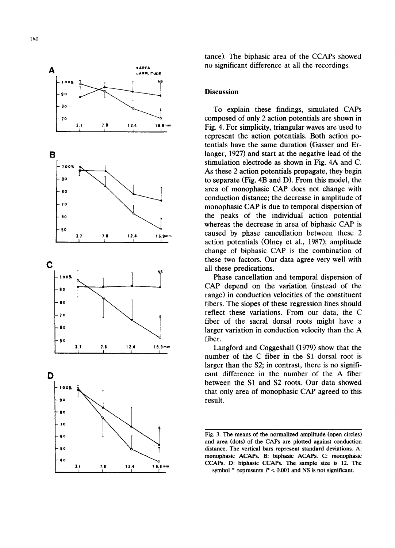

tance). The biphasic area of the CCAPs showed no significant difference at all the recordings.

## **Discussion**

To explain these findings, simulated CAPs composed of only 2 action potentials are shown in Fig. 4. For simplicity, triangular waves are used to represent the action potentials. Both action potentials have the same duration (Gasser and Erlanger, 1927) and start at the negative lead of the stimulation electrode as shown in Fig. 4A and C. As these 2 action potentials propagate, they begin to separate (Fig. 4B and D). From this model, the area of monophasic CAP does not change with conduction distance; the decrease in amplitude of monophasic CAP is due to temporal dispersion of the peaks of the individual action potential whereas the decrease in area of biphasic CAP is caused by phase cancellation between these 2 action potentials (Olney et al., 1987); amplitude change of biphasic CAP is the combination of these two factors. Our data agree very well with all these predications.

Phase cancellation and temporal dispersion of CAP depend on the variation (instead of the range) in conduction velocities of the constituent fibers. The slopes of these regression lines should reflect these variations. From our data, the C fiber of the sacral dorsal roots might have a larger variation in conduction velocity than the A fiber.

Langford and Coggeshall (1979) show that the number of the C fiber in the S1 dorsal root is larger than the S2; in contrast, there is no significant difference in the number of the A fiber between the S1 and \$2 roots. Our data showed that only area of monophasic CAP agreed to this result.

Fig. 3. The means of the normalized amplitude (open circles) and area (dots) of the CAPs are plotted against conduction distance. The vertical bars represent standard deviations. A: monophasic ACAPs. B: biphasic ACAPs: C: monophasic CCAPs. D: biphasic CCAPs. The sample size is 12. The symbol  $*$  represents  $P < 0.001$  and NS is not significant.